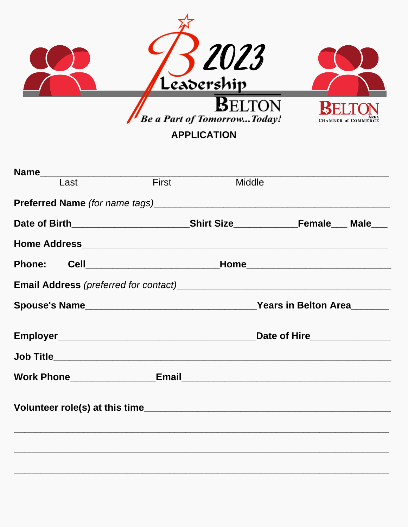

| <b>Name</b> |      |              |        |                                   |  |
|-------------|------|--------------|--------|-----------------------------------|--|
|             | Last | <b>First</b> | Middle |                                   |  |
|             |      |              |        |                                   |  |
|             |      |              |        |                                   |  |
|             |      |              |        |                                   |  |
|             |      |              |        |                                   |  |
|             |      |              |        |                                   |  |
|             |      |              |        |                                   |  |
|             |      |              |        | Date of Hire <b>Exercise 2018</b> |  |
|             |      |              |        |                                   |  |
|             |      |              |        |                                   |  |
|             |      |              |        |                                   |  |
|             |      |              |        |                                   |  |
|             |      |              |        |                                   |  |
|             |      |              |        |                                   |  |